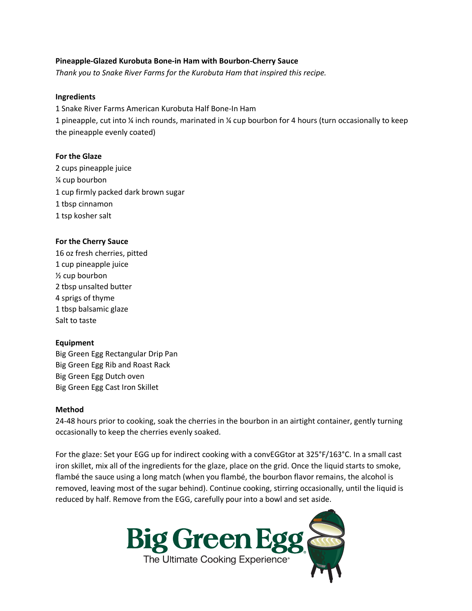# **Pineapple-Glazed Kurobuta Bone-in Ham with Bourbon-Cherry Sauce**

*Thank you to Snake River Farms for the Kurobuta Ham that inspired this recipe.*

### **Ingredients**

1 Snake River Farms American Kurobuta Half Bone-In Ham 1 pineapple, cut into ¼ inch rounds, marinated in ¼ cup bourbon for 4 hours (turn occasionally to keep the pineapple evenly coated)

### **For the Glaze**

2 cups pineapple juice ¼ cup bourbon 1 cup firmly packed dark brown sugar 1 tbsp cinnamon 1 tsp kosher salt

# **For the Cherry Sauce**

16 oz fresh cherries, pitted 1 cup pineapple juice ½ cup bourbon 2 tbsp unsalted butter 4 sprigs of thyme 1 tbsp balsamic glaze Salt to taste

### **Equipment**

Big Green Egg Rectangular Drip Pan Big Green Egg Rib and Roast Rack Big Green Egg Dutch oven Big Green Egg Cast Iron Skillet

### **Method**

24-48 hours prior to cooking, soak the cherries in the bourbon in an airtight container, gently turning occasionally to keep the cherries evenly soaked.

For the glaze: Set your EGG up for indirect cooking with a convEGGtor at 325°F/163°C. In a small cast iron skillet, mix all of the ingredients for the glaze, place on the grid. Once the liquid starts to smoke, flambé the sauce using a long match (when you flambé, the bourbon flavor remains, the alcohol is removed, leaving most of the sugar behind). Continue cooking, stirring occasionally, until the liquid is reduced by half. Remove from the EGG, carefully pour into a bowl and set aside.